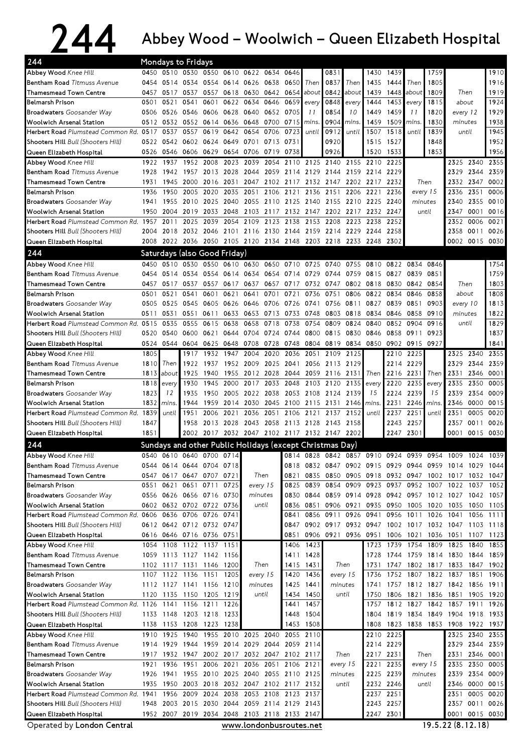## 244 Abbey Wood – Woolwich – Queen Elizabeth Hospital

| 244<br><b>Mondays to Fridays</b>                             |      |                                    |           |                |                             |                  |                                                   |           |                        |                                                             |                  |                                              |                |                |                          |                |                |                        |
|--------------------------------------------------------------|------|------------------------------------|-----------|----------------|-----------------------------|------------------|---------------------------------------------------|-----------|------------------------|-------------------------------------------------------------|------------------|----------------------------------------------|----------------|----------------|--------------------------|----------------|----------------|------------------------|
| Abbey Wood Knee Hill                                         | 0450 |                                    |           |                |                             |                  | 0510 0530 0550 0610 0622 0634                     | 0646      |                        | 0831                                                        |                  | 1430                                         | 1439           |                | 1759                     |                |                | 1910                   |
| Bentham Road Titmuss Avenue                                  | 0454 |                                    | 0514 0534 |                | 0554 0614 0626              |                  | 0638                                              | 0650      | Then                   | 0837                                                        | Then             | 1435                                         | 1444           | Then           | 1805                     |                |                | 1916                   |
| Thamesmead Town Centre                                       | 0457 | 0517                               | 0537      | 0557           |                             | 0618 0630 0642   |                                                   | 0654      | about                  | 0842                                                        | about            | 1439                                         | 1448           | about          | 1809                     | Then           |                | 1919                   |
| Belmarsh Prison                                              | 0501 | 0521                               | 0541      | 0601           | 0622                        | 0634             | 0646                                              | 0659      | every                  | 0848                                                        | every            | 1444                                         | 1453           | every          | 1815                     | about          |                | 1924                   |
| <b>Broadwaters</b> Goosander Way                             | 0506 | 0526 0546                          |           | 0606           | 0628                        | 0640             | 0652                                              | 0705      | 11                     | 0854                                                        | 10               | 1449                                         | 1459           | 11             | 1820                     | every 12       |                | 1929                   |
| Woolwich Arsenal Station                                     |      | 0512 0532 0552 0614 0636 0648      |           |                |                             |                  | 0700                                              | 0715      | mins.                  | 0904                                                        | mins.            | 1459                                         | 1509           | mins.          | 1830                     | minutes        |                | 1938                   |
| Herbert Road Plumstead Common Rd. 0517                       |      | 0537                               | 0557      | 0619           | 0642                        | 0654             | 0706                                              | 0723      | until                  | 0912                                                        | until            | 1507                                         | 1518           | until          | 1839                     | until          |                | 1945                   |
| <b>Shooters Hill</b> Bull (Shooters Hill)                    | 0522 |                                    | 0542 0602 | 0624           | 0649                        | 0701             | 0713                                              | 0731      |                        | 0920                                                        |                  | 1515                                         | 1527           |                | 1848                     |                |                | 1952                   |
| Queen Elizabeth Hospital                                     |      | 0526 0546 0606                     |           | 0629           |                             | 0654 0706        | 0719                                              | 0738      |                        | 0926                                                        |                  | 1520                                         | 1533           |                | 1853                     |                |                | 1956                   |
| <b>Abbey Wood Knee Hill</b>                                  | 1922 | 1937                               | 1952      | 2008           | 2023                        | 2039             | 2054                                              |           | 2110 2125              | 2140                                                        |                  | 2155 2210                                    | 2225           |                |                          |                | 2325 2340      | 2355                   |
| Bentham Road Titmuss Avenue                                  | 1928 | 1942                               | 1957      | 2013           |                             | 2028 2044        | 2059                                              |           | 2114 2129 2144         |                                                             | 2159             | 2214 2229                                    |                |                |                          | 2329           | 2344           | 2359                   |
| <b>Thamesmead Town Centre</b>                                | 1931 |                                    | 1945 2000 | 2016 2031      |                             |                  |                                                   |           |                        | 2047 2102 2117 2132 2147 2202 2217 2232                     |                  |                                              |                |                | Then                     | 2332           | 2347           | 0002                   |
| Belmarsh Prison                                              | 1936 | 1950                               | 2005      | 2020           | 2035                        | 2051             | 2106                                              | 2121      | 2136                   | 2151                                                        |                  | 2206 2221                                    | 2236           |                | every 15                 | 2336           | 2351           | 0006                   |
| <b>Broadwaters</b> Goosander Way                             | 1941 | 1955                               | 2010      | 2025           | 2040                        | 2055             | 2110                                              | 2125 2140 |                        | 2155                                                        | 2210             | 2225                                         | 2240           |                | minutes                  | 2340           | 2355           | 0010                   |
| <b>Woolwich Arsenal Station</b>                              | 1950 | 2004                               | 2019      | 2033           | 2048                        | 2103             | 2117                                              |           | 2132 2147              |                                                             |                  | 2202 2217 2232 2247                          |                |                | until                    | 2347           | 0001           | 0016                   |
| Herbert Road Plumstead Common Rd. 1957                       |      | 2011                               | 2025      | 2039           | 2054                        | 2109             | 2123                                              | 2138      | 2153                   | 2208                                                        | 2223             | 2238                                         | 2252           |                |                          | 2352           | 0006           | 0021                   |
| <b>Shooters Hill</b> Bull (Shooters Hill)                    | 2004 | 2018                               |           |                |                             |                  |                                                   |           |                        | 2032 2046 2101 2116 2130 2144 2159 2214 2229                |                  | 2244                                         | 2258           |                |                          | 2358           | 0011           | 0026                   |
| Queen Elizabeth Hospital                                     | 2008 |                                    |           |                |                             |                  |                                                   |           |                        | 2022 2036 2050 2105 2120 2134 2148 2203 2218 2233 2248 2302 |                  |                                              |                |                |                          |                | 0002 0015 0030 |                        |
| 244                                                          |      | Saturdays (also Good Friday)       |           |                |                             |                  |                                                   |           |                        |                                                             |                  |                                              |                |                |                          |                |                |                        |
| Abbey Wood Knee Hill                                         |      |                                    |           |                |                             |                  | 0450 0510 0530 0550 0610 0630 0650 0710 0725 0740 |           |                        |                                                             | 0755             | 0810                                         |                | 0822 0834      | 0846                     |                |                | 1754                   |
| Bentham Road Titmuss Avenue                                  | 0454 | 0514                               | 0534      | 0554           | 0614                        | 0634             | 0654                                              |           | 0714 0729              | 0744                                                        | 0759             | 0815                                         | 0827           | 0839           | 0851                     |                |                | 1759                   |
| <b>Thamesmead Town Centre</b>                                | 0457 | 0517                               | 0537      | 0557           | 0617                        | 0637             | 0657                                              | 0717      | 0732 0747              |                                                             |                  | 0802 0818 0830                               |                | 0842 0854      |                          | Then           |                | 1803                   |
| <b>Belmarsh Prison</b>                                       | 0501 | 0521                               | 0541      | 0601           | 0621                        | 0641             | 0701                                              | 0721      | 0736                   | 0751                                                        | 0806             | 0822                                         | 0834           | 0846           | 0858                     | about          |                | 1808                   |
| <b>Broadwaters</b> Goosander Way                             | 0505 | 0525                               | 0545      | 0605           | 0626                        | 0646             | 0706                                              |           | 0726 0741              | 0756                                                        | 0811             | 0827                                         | 0839           | 0851           | 0903                     | every 10       |                | 1813                   |
| <b>Woolwich Arsenal Station</b>                              | 0511 | 0531                               | 0551      | 0611           | 0633                        | 0653             | 0713                                              |           | 0733 0748              | 0803                                                        | 0818             | 0834                                         | 0846           | 0858           | 0910                     | minutes        |                | 1822                   |
| Herbert Road Plumstead Common Rd. 0515                       |      | 0535                               | 0555      | 0615           | 0638                        | 0658             | 0718                                              | 0738      | 0754                   | 0809                                                        | 0824             | 0840                                         | 0852           | 0904           | 0916                     | until          |                | 1829                   |
| <b>Shooters Hill</b> Bull (Shooters Hill)                    | 0520 | 0540                               | 0600      | 0621           | 0644                        | 0704             | 0724                                              | 0744      | 0800                   | 0815                                                        | 0830             | 0846                                         | 0858           | 0911           | 0923                     |                |                | 1837                   |
| Queen Elizabeth Hospital                                     | 0524 | 0544 0604                          |           | 0625           |                             | 0648 0708        | 0728                                              | 0748      | 0804                   |                                                             | 0819 0834        |                                              | 0850 0902 0915 |                | 0927                     |                |                | 1841                   |
| <b>Abbey Wood Knee Hill</b>                                  | 1805 |                                    | 1917      | 1932           | 1947                        | 2004             | 2020                                              | 2036      | 2051                   | 2109                                                        | 2125             |                                              | 2210           | 2225           |                          | 2325           | 2340           | 2355                   |
| <b>Bentham Road Titmuss Avenue</b>                           | 1810 | Then                               | 1922      | 1937           | 1952                        | 2009             | 2025                                              | 2041      | 2056                   | 2113                                                        | 2129             |                                              | 2214           | 2229           |                          | 2329           | 2344           | 2359                   |
| Thamesmead Town Centre                                       | 1813 | about                              | 1925      | 1940           | 1955                        | 2012             | 2028                                              |           | 2044 2059              | 2116                                                        | 2131             | Then                                         | 2216           | 2231           | Then                     | 2331           | 2346           | 0001                   |
| <b>Belmarsh Prison</b>                                       | 1818 | every                              | 1930      | 1945           | 2000                        | 2017             | 2033                                              | 2048      | 2103                   | 2120                                                        | 2135             | every                                        | 2220           | 2235           | every                    | 2335           | 2350           | 0005                   |
| <b>Broadwaters</b> Goosander Way                             | 1823 | 12                                 | 1935      | 1950           |                             | 2005 2022 2038   |                                                   |           | 2053 2108              | 2124 2139                                                   |                  | 15                                           | 2224           | 2239           | 15                       | 2339           | 2354           | 0009                   |
| Woolwich Arsenal Station                                     | 1832 | mins.                              | 1944      | 1959           | 2014                        | 2030             | 2045                                              | 2100 2115 |                        | 2131                                                        | 2146             | <i>mins</i>                                  | 2231           | 2246           | mins.                    | 2346           | 0000           | 0015                   |
| Herbert Road Plumstead Common Rd. 1839                       |      | until                              | 1951      | 2006           | 2021                        | 2036             | 2051                                              | 2106      | 2121                   | 2137                                                        | 2152             | until                                        | 2237           | 2251           | until                    | 2351           | 0005           | 0020                   |
| Shooters Hill Bull (Shooters Hill)                           | 1847 |                                    | 1958      | 2013           | 2028                        | 2043             | 2058                                              | 2113 2128 |                        | 2143                                                        | 2158             |                                              | 2243           | 2257           |                          | 2357           | 0011           | 0026                   |
| Queen Elizabeth Hospital                                     | 1851 |                                    |           |                |                             |                  |                                                   |           |                        | 2002 2017 2032 2047 2102 2117 2132 2147 2202                |                  |                                              |                | 2247 2301      |                          | 0001           |                | 0015 0030              |
| 244                                                          |      |                                    |           |                |                             |                  |                                                   |           |                        | Sundays and other Public Holidays (except Christmas Day)    |                  |                                              |                |                |                          |                |                |                        |
| Abbey Wood Knee Hill                                         | 0540 | 0610 0640 0700                     |           |                | 0714                        |                  |                                                   | 0814      | 0828                   | 0842                                                        | 0857             | 0910                                         | 0924           | 0939           | 0954                     | 1009           | 1024           | 1039                   |
| Bentham Road Titmuss Avenue                                  |      | 0544 0614 0644 0704 0718           |           |                |                             |                  |                                                   |           |                        | 0818 0832 0847 0902 0915 0929                               |                  |                                              |                |                | 0944 0959 1014           |                | 1029           | 1044                   |
| Thamesmead Town Centre                                       |      | 0547 0617 0647 0707 0721           |           |                |                             | Then             |                                                   | 0821      | 0835                   |                                                             |                  | 0850 0905 0918 0932 0947                     |                |                |                          | 1002 1017      | 1032           | 1047                   |
| Belmarsh Prison                                              | 0551 | 0621                               |           | 0651 0711      | 0725                        |                  | every 15                                          |           | 0839                   | 0854                                                        | 0909             |                                              | 0923 0937 0952 |                | 1007                     | 1022           | 1037           | 1052                   |
| <b>Broadwaters</b> Goosander Way                             |      | 0556 0626 0656 0716 0730           |           |                |                             |                  | minutes                                           |           | 0830 0844              |                                                             |                  | 0859 0914 0928 0942 0957 1012 1027 1042 1057 |                |                |                          |                |                |                        |
| Woolwich Arsenal Station                                     |      | 0602 0632 0702 0722 0736           |           |                |                             |                  | until                                             |           | 0836 0851              |                                                             |                  | 0906 0921 0935 0950 1005 1020 1035 1050 1105 |                |                |                          |                |                |                        |
| Herbert Road Plumstead Common Rd. 0606 0636 0706 0726        |      |                                    |           |                | 0741                        |                  |                                                   | 0841      |                        | 0856 0911                                                   | 0926             | 0941                                         | 0956           | 1011           | 1026 1041                |                | 1056           | 1111                   |
| <b>Shooters Hill</b> Bull (Shooters Hill)                    |      | 0612 0642 0712 0732 0747           |           |                |                             |                  |                                                   |           |                        | 0847 0902 0917 0932 0947 1002 1017 1032 1047 1103 1118      |                  |                                              |                |                |                          |                |                |                        |
| Queen Elizabeth Hospital                                     |      | 0616 0646 0716 0736 0751           |           |                |                             |                  |                                                   | 0851      |                        | 0906 0921 0936 0951 1006 1021                               |                  |                                              |                |                |                          | 1036 1051 1107 |                | 1123                   |
| Abbey Wood Knee Hill                                         |      | 1054 1108 1122 1137 1151           |           |                |                             |                  |                                                   | 1406      | 1423                   |                                                             |                  | 1723                                         |                |                | 1739 1754 1809 1825      |                | 1840           | 1855                   |
| Bentham Road Titmuss Avenue                                  |      | 1059 1113 1127 1142 1156           |           |                |                             |                  |                                                   | 1411      | 1428                   |                                                             |                  | 1728                                         |                |                | 1744 1759 1814 1830      |                | 1844           | 1859                   |
| Thamesmead Town Centre                                       |      | 1102 1117 1131 1146 1200           |           |                |                             | Then             |                                                   |           | 1415 1431              |                                                             | Then             | 1731                                         |                |                | 1747 1802 1817 1833      |                |                | 1847 1902              |
| <b>Belmarsh Prison</b>                                       |      | 1107 1122 1136 1151 1205           |           |                |                             | every 15         |                                                   |           | 1420 1436              |                                                             | every 15         |                                              |                |                | 1736 1752 1807 1822 1837 |                | 1851           | 1906                   |
| <b>Broadwaters</b> Goosander Way                             |      | 1112 1127 1141 1156 1210           |           |                |                             | minutes<br>until |                                                   |           | 1425 1441              |                                                             | minutes          | 1741                                         |                |                | 1757 1812 1827 1842 1856 |                |                | 1911                   |
| Woolwich Arsenal Station                                     |      | 1120 1135 1150 1205 1219           |           |                |                             |                  |                                                   |           | 1434 1450              |                                                             | until            | 1750                                         | 1806           | 1821           | 1836 1851                |                | 1905           | 1920                   |
| Herbert Road Plumstead Common Rd. 1126 1141 1156 1211 1226   |      |                                    |           |                |                             |                  |                                                   |           | 1441 1457              |                                                             |                  |                                              | 1757 1812 1827 |                | 1842 1857 1911           |                |                | 1926                   |
| Shooters Hill Bull (Shooters Hill)                           |      | 1133 1148                          |           | 1203 1218 1233 |                             |                  |                                                   |           | 1448 1504              |                                                             |                  |                                              |                | 1804 1819 1834 | 1849 1904                |                |                | 1918 1933              |
| Queen Elizabeth Hospital                                     |      | 1138 1153 1208 1223                |           |                | 1238<br>1955 2010 2025 2040 |                  |                                                   |           | 1453 1508<br>2055 2110 |                                                             |                  |                                              | 1808 1823      |                | 1838 1853 1908           |                |                | 1922 1937              |
| Abbey Wood Knee Hill                                         | 1910 | 1925                               | 1940      |                |                             |                  |                                                   |           |                        |                                                             |                  |                                              | 2210 2225      |                |                          | 2325           |                | 2340 2355              |
| Bentham Road Titmuss Avenue                                  |      | 1914 1929 1944 1959 2014 2029 2044 |           |                |                             |                  |                                                   |           | 2059 2114              |                                                             |                  |                                              | 2214 2229      |                |                          | 2329           |                | 2344 2359              |
| Thamesmead Town Centre                                       |      |                                    |           |                |                             |                  | 1917 1932 1947 2002 2017 2032 2047 2102 2117      |           |                        |                                                             | Then             |                                              | 2217 2231      |                | Then                     | 2331           |                | 2346 0001              |
| Belmarsh Prison                                              | 1921 | 1936                               |           | 1951 2006 2021 |                             |                  | 2036 2051 2106 2121                               |           |                        |                                                             | every 15         | 2221<br>2225                                 | 2235<br>2239   |                | every 15                 | 2335<br>2339   |                | 2350 0005<br>2354 0009 |
| <b>Broadwaters</b> Goosander Way<br>Woolwich Arsenal Station |      |                                    |           |                |                             |                  | 1926 1941 1955 2010 2025 2040 2055 2110 2125      |           |                        |                                                             | minutes<br>until |                                              |                |                | minutes<br>until         |                |                | 0000 0015              |
| Herbert Road Plumstead Common Rd. 1941                       | 1935 | 1950 2003 2018<br>1956             |           | 2009 2024      |                             | 2038 2053 2108   | 2032 2047 2102 2117 2132                          |           | 2123 2137              |                                                             |                  | 2237 2251                                    | 2232 2246      |                |                          | 2346<br>2351   |                | 0005 0020              |
| <b>Shooters Hill</b> Bull (Shooters Hill)                    |      |                                    |           |                |                             |                  | 1948 2003 2015 2030 2044 2059 2114 2129 2143      |           |                        |                                                             |                  |                                              | 2243 2257      |                |                          | 2357           |                | 0011 0026              |
|                                                              |      |                                    |           |                |                             |                  |                                                   |           |                        |                                                             |                  |                                              |                |                |                          |                |                |                        |
| Queen Elizabeth Hospital                                     |      |                                    |           |                |                             |                  | 1952 2007 2019 2034 2048 2103 2118 2133 2147      |           |                        |                                                             |                  |                                              | 2247 2301      |                |                          |                |                | 0001 0015 0030         |

Operated by London Central

www.londonbusroutes.net